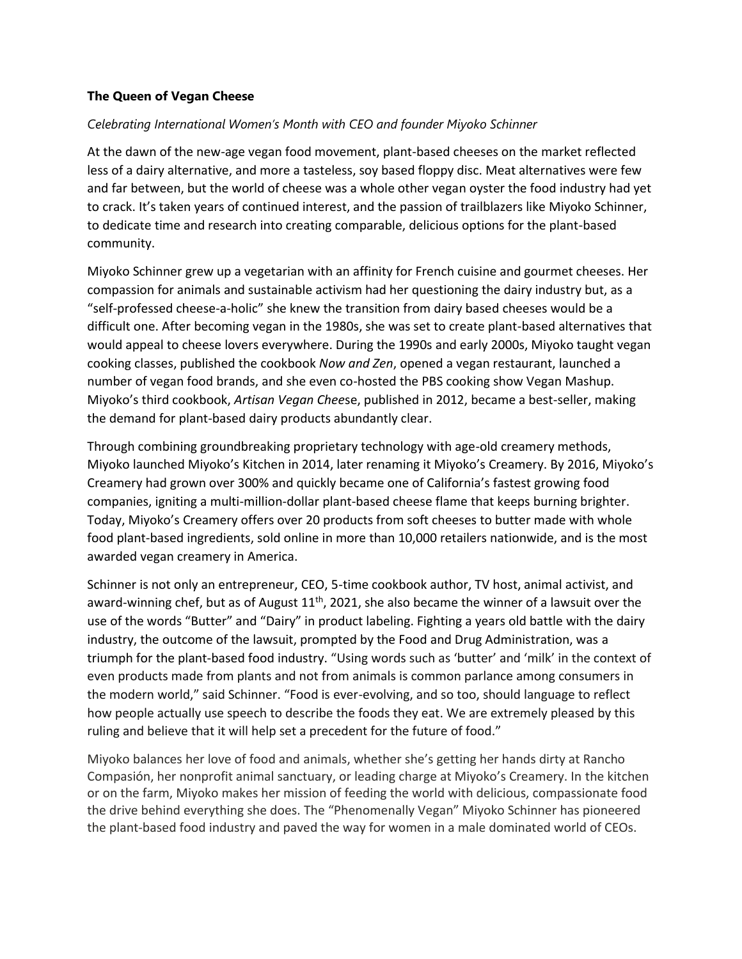## **The Queen of Vegan Cheese**

## *Celebrating International Women's Month with CEO and founder Miyoko Schinner*

At the dawn of the new-age vegan food movement, plant-based cheeses on the market reflected less of a dairy alternative, and more a tasteless, soy based floppy disc. Meat alternatives were few and far between, but the world of cheese was a whole other vegan oyster the food industry had yet to crack. It's taken years of continued interest, and the passion of trailblazers like Miyoko Schinner, to dedicate time and research into creating comparable, delicious options for the plant-based community.

Miyoko Schinner grew up a vegetarian with an affinity for French cuisine and gourmet cheeses. Her compassion for animals and sustainable activism had her questioning the dairy industry but, as a "self-professed cheese-a-holic" she knew the transition from dairy based cheeses would be a difficult one. After becoming vegan in the 1980s, she was set to create plant-based alternatives that would appeal to cheese lovers everywhere. During the 1990s and early 2000s, Miyoko taught vegan cooking classes, published the cookbook *Now and Zen*, opened a vegan restaurant, launched a number of vegan food brands, and she even co-hosted the PBS cooking show Vegan Mashup. Miyoko's third cookbook, *Artisan Vegan Chee*se, published in 2012, became a best-seller, making the demand for plant-based dairy products abundantly clear.

Through combining groundbreaking proprietary technology with age-old creamery methods, Miyoko launched Miyoko's Kitchen in 2014, later renaming it Miyoko's Creamery. By 2016, Miyoko's Creamery had grown over 300% and quickly became one of California's fastest growing food companies, igniting a multi-million-dollar plant-based cheese flame that keeps burning brighter. Today, Miyoko's Creamery offers over 20 products from soft cheeses to butter made with whole food plant-based ingredients, sold online in more than 10,000 retailers nationwide, and is the most awarded vegan creamery in America.

Schinner is not only an entrepreneur, CEO, 5-time cookbook author, TV host, animal activist, and award-winning chef, but as of August  $11<sup>th</sup>$ , 2021, she also became the winner of a lawsuit over the use of the words "Butter" and "Dairy" in product labeling. Fighting a years old battle with the dairy industry, the outcome of the lawsuit, prompted by the Food and Drug Administration, was a triumph for the plant-based food industry. "Using words such as 'butter' and 'milk' in the context of even products made from plants and not from animals is common parlance among consumers in the modern world," said Schinner. "Food is ever-evolving, and so too, should language to reflect how people actually use speech to describe the foods they eat. We are extremely pleased by this ruling and believe that it will help set a precedent for the future of food."

Miyoko balances her love of food and animals, whether she's getting her hands dirty at Rancho Compasión, her nonprofit animal sanctuary, or leading charge at Miyoko's Creamery. In the kitchen or on the farm, Miyoko makes her mission of feeding the world with delicious, compassionate food the drive behind everything she does. The "Phenomenally Vegan" Miyoko Schinner has pioneered the plant-based food industry and paved the way for women in a male dominated world of CEOs.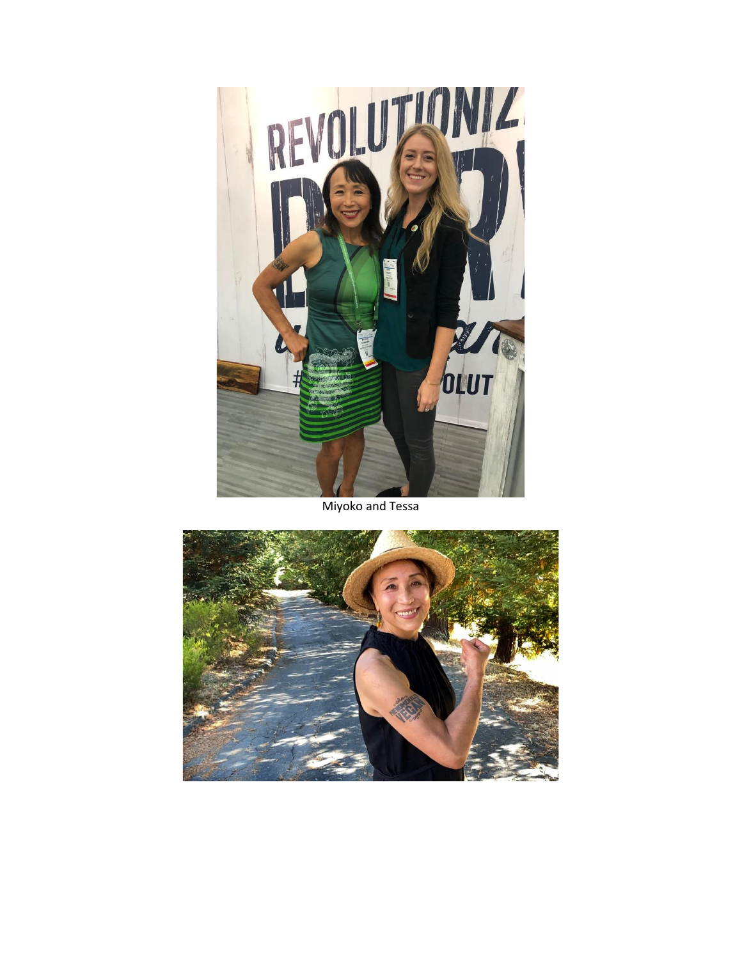

Miyoko and Tessa